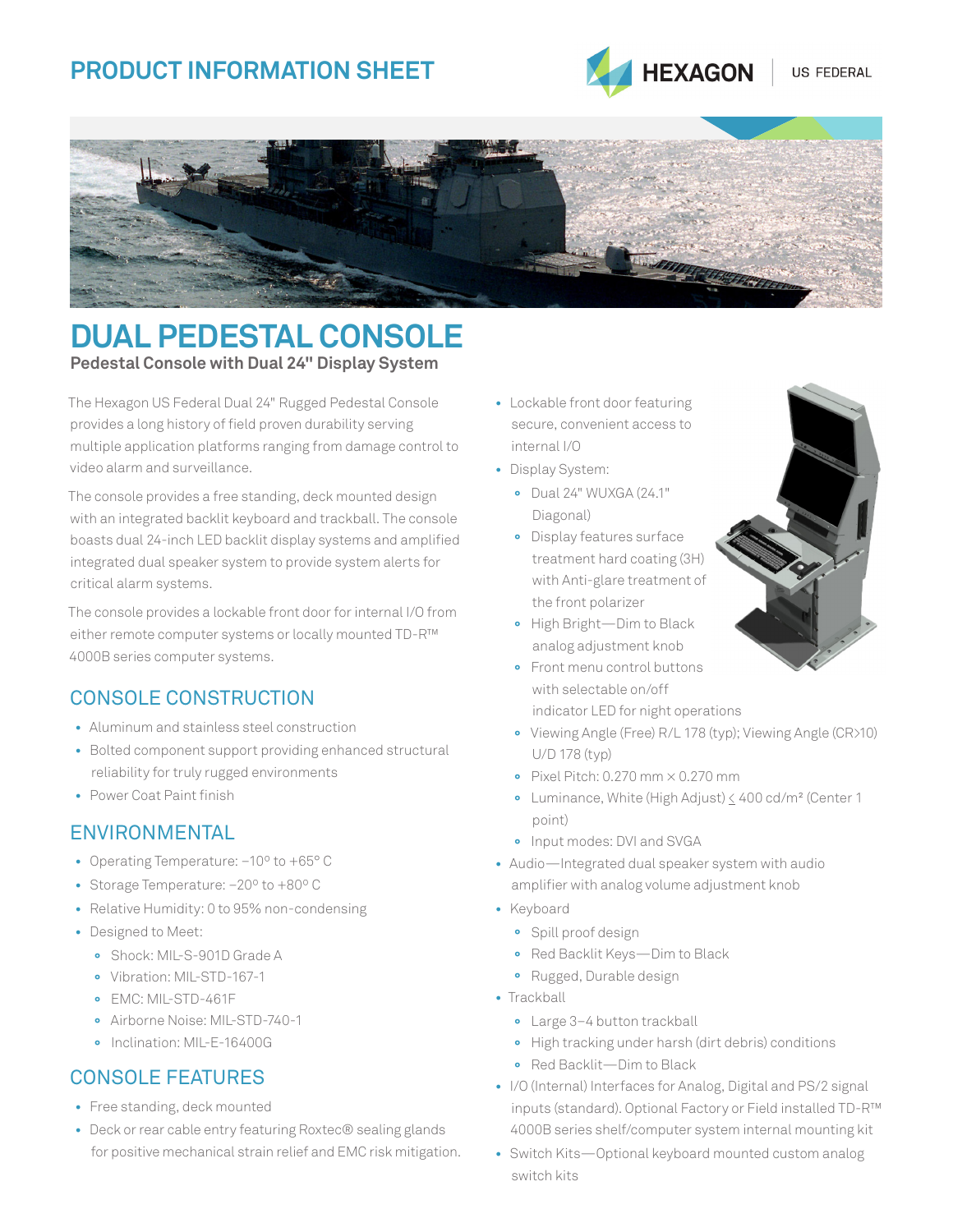# **PRODUCT INFORMATION SHEET**





## **DUAL PEDESTAL CONSOLE Pedestal Console with Dual 24" Display System**

The Hexagon US Federal Dual 24" Rugged Pedestal Console provides a long history of field proven durability serving multiple application platforms ranging from damage control to video alarm and surveillance.

The console provides a free standing, deck mounted design with an integrated backlit keyboard and trackball. The console boasts dual 24-inch LED backlit display systems and amplified integrated dual speaker system to provide system alerts for critical alarm systems.

The console provides a lockable front door for internal I/O from either remote computer systems or locally mounted TD-R™ 4000B series computer systems.

### CONSOLE CONSTRUCTION

- **•** Aluminum and stainless steel construction
- **•** Bolted component support providing enhanced structural reliability for truly rugged environments
- **•** Power Coat Paint finish

### ENVIRONMENTAL

- **•** Operating Temperature: –10º to +65° C
- **•** Storage Temperature: –20º to +80º C
- **•** Relative Humidity: 0 to 95% non-condensing
- **•** Designed to Meet:
	- **°** Shock: MIL-S-901D Grade A
	- **°** Vibration: MIL-STD-167-1
	- **°** EMC: MIL-STD-461F
	- **°** Airborne Noise: MIL-STD-740-1
	- **°** Inclination: MIL-E-16400G

### CONSOLE FEATURES

- **•** Free standing, deck mounted
- **•** Deck or rear cable entry featuring Roxtec® sealing glands for positive mechanical strain relief and EMC risk mitigation.
- **•** Lockable front door featuring secure, convenient access to internal I/O
- **•** Display System:
	- **°** Dual 24" WUXGA (24.1" Diagonal)
	- **°** Display features surface treatment hard coating (3H) with Anti-glare treatment of the front polarizer
	- **°** High Bright—Dim to Black analog adjustment knob
	- **°** Front menu control buttons with selectable on/off indicator LED for night operations
	- **°** Viewing Angle (Free) R/L 178 (typ); Viewing Angle (CR>10) U/D 178 (typ)
	- **°** Pixel Pitch: 0.270 mm × 0.270 mm
	- **°** Luminance, White (High Adjust) < 400 cd/m² (Center 1 point)
	- **°** Input modes: DVI and SVGA
- **•** Audio—Integrated dual speaker system with audio amplifier with analog volume adjustment knob
- **•** Keyboard
	- **°** Spill proof design
	- **°** Red Backlit Keys—Dim to Black
	- **°** Rugged, Durable design
- **•** Trackball
	- **°** Large 3–4 button trackball
	- **°** High tracking under harsh (dirt debris) conditions
	- **°** Red Backlit—Dim to Black
- **•** I/O (Internal) Interfaces for Analog, Digital and PS/2 signal inputs (standard). Optional Factory or Field installed TD-R™ 4000B series shelf/computer system internal mounting kit
- **•** Switch Kits—Optional keyboard mounted custom analog switch kits